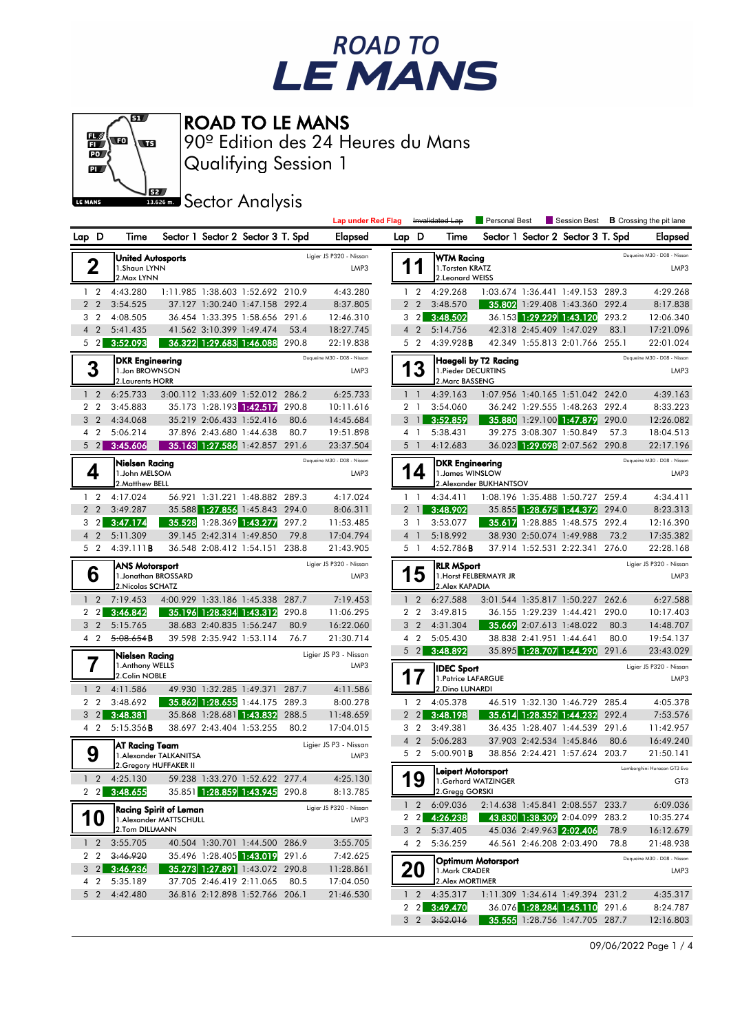



Qualifying Session 1 90º Edition des 24 Heures du Mans

**J**BZZ Sector Analysis

|                                  |                                                                    |                         |                                                                  |       | <b>Lap under Red Flag</b>           |                |                | Invalidated Lap                                          | Personal Best          |                                   | Session Best |       | <b>B</b> Crossing the pit lane       |
|----------------------------------|--------------------------------------------------------------------|-------------------------|------------------------------------------------------------------|-------|-------------------------------------|----------------|----------------|----------------------------------------------------------|------------------------|-----------------------------------|--------------|-------|--------------------------------------|
| Lap D                            | Time                                                               |                         | Sector 1 Sector 2 Sector 3 T. Spd                                |       | Elapsed                             | Lap D          |                | Time                                                     |                        | Sector 1 Sector 2 Sector 3 T. Spd |              |       | <b>Elapsed</b>                       |
| 2                                | <b>United Autosports</b><br>1.Shaun LYNN<br>2. Max LYNN            |                         |                                                                  |       | Ligier JS P320 - Nissan<br>LMP3     |                | 1              | <b>WTM Racing</b><br>1. Torsten KRATZ<br>2.Leonard WEISS |                        |                                   |              |       | Duqueine M30 - D08 - Nissan<br>LMP3  |
| 1 <sub>2</sub>                   | 4:43.280                                                           |                         | 1:11.985 1:38.603 1:52.692 210.9                                 |       | 4:43.280                            | $\mathbf{1}$   | $\overline{2}$ | 4:29.268                                                 |                        | 1:03.674 1:36.441 1:49.153 289.3  |              |       | 4:29.268                             |
| $\overline{2}$<br>$\overline{2}$ | 3:54.525                                                           |                         | 37.127 1:30.240 1:47.158 292.4                                   |       | 8:37.805                            |                | 2 <sub>2</sub> | 3:48.570                                                 |                        | 35.802 1:29.408 1:43.360 292.4    |              |       | 8:17.838                             |
| 3 <sub>2</sub>                   | 4:08.505                                                           |                         | 36.454 1:33.395 1:58.656 291.6                                   |       | 12:46.310                           |                | $3 \quad 2$    | 3:48.502                                                 |                        | 36.153 1:29.229 1:43.120          |              | 293.2 | 12:06.340                            |
| 4 <sup>2</sup>                   | 5:41.435                                                           |                         | 41.562 3:10.399 1:49.474                                         | 53.4  | 18:27.745                           |                | 4 <sup>2</sup> | 5:14.756                                                 |                        | 42.318 2:45.409 1:47.029          |              | 83.1  | 17:21.096                            |
| 5 <sub>2</sub>                   | 3:52.093                                                           |                         | 36.322 1:29.683 1:46.088 290.8                                   |       | 22:19.838                           |                | 5 <sub>2</sub> | 4:39.928B                                                |                        | 42.349 1:55.813 2:01.766 255.1    |              |       | 22:01.024                            |
| 3                                | <b>DKR Engineering</b><br>1.Jon BROWNSON<br>2. Laurents HORR       |                         |                                                                  |       | Duqueine M30 - D08 - Nissan<br>LMP3 |                | 13             | 1. Pieder DECURTINS<br>2. Marc BASSENG                   | Haegeli by T2 Racing   |                                   |              |       | Duqueine M30 - D08 - Nissan<br>LMP3  |
| $1\quad 2$                       | 6:25.733                                                           |                         | 3:00.112 1:33.609 1:52.012 286.2                                 |       | 6:25.733                            |                | $1\quad$       | 4:39.163                                                 |                        | 1:07.956 1:40.165 1:51.042 242.0  |              |       | 4:39.163                             |
| 2 <sub>2</sub>                   | 3:45.883                                                           |                         | 35.173 1:28.193 1:42.517                                         | 290.8 | 10:11.616                           | $\overline{2}$ | $\overline{1}$ | 3:54.060                                                 |                        | 36.242 1:29.555 1:48.263 292.4    |              |       | 8:33.223                             |
| 3 <sub>2</sub>                   | 4:34.068                                                           |                         | 35.219 2:06.433 1:52.416                                         | 80.6  | 14:45.684                           | 3              | $\overline{1}$ | 3:52.859                                                 |                        | 35.880 1:29.100 1:47.879          |              | 290.0 | 12:26.082                            |
| 4 <sub>2</sub>                   | 5:06.214                                                           |                         | 37.896 2:43.680 1:44.638                                         | 80.7  | 19:51.898                           |                | 4 1            | 5:38.431                                                 |                        | 39.275 3:08.307 1:50.849          |              | 57.3  | 18:04.513                            |
| $5\quad2$                        | 3:45.606                                                           |                         | 35.163 1:27.586 1:42.857 291.6                                   |       | 23:37.504                           | 5              | $\overline{1}$ | 4:12.683                                                 |                        | 36.023 1:29.098 2:07.562 290.8    |              |       | 22:17.196                            |
| 4                                | Nielsen Racing<br>1.John MELSOM<br>2. Matthew BELL                 |                         |                                                                  |       | Duqueine M30 - D08 - Nissan<br>LMP3 |                | 14             | <b>DKR Engineering</b><br>1. James WINSLOW               | 2.Alexander BUKHANTSOV |                                   |              |       | Duqueine M30 - D08 - Nissan<br>LMP3  |
| $1\quad 2$                       | 4:17.024                                                           |                         | 56.921 1:31.221 1:48.882 289.3                                   |       | 4:17.024                            |                | $1\quad$       | 4:34.411                                                 |                        | 1:08.196 1:35.488 1:50.727 259.4  |              |       | 4:34.411                             |
| 2 <sub>2</sub>                   | 3:49.287                                                           |                         | 35.588 1:27.856 1:45.843 294.0                                   |       | 8:06.311                            |                | $2 \quad 1$    | 3:48.902                                                 |                        | 35.855 1:28.675 1:44.372          |              | 294.0 | 8:23.313                             |
| 3 <sub>2</sub>                   | 3:47.174                                                           |                         | 35.528 1:28.369 1:43.277 297.2                                   |       | 11:53.485                           |                | 3 1            | 3:53.077                                                 |                        | 35.617 1:28.885 1:48.575 292.4    |              |       | 12:16.390                            |
| 4 <sub>2</sub>                   | 5:11.309                                                           |                         | 39.145 2:42.314 1:49.850                                         | 79.8  | 17:04.794                           |                | 4 <sup>1</sup> | 5:18.992                                                 |                        | 38.930 2:50.074 1:49.988          |              | 73.2  | 17:35.382                            |
| 5 <sub>2</sub>                   | 4:39.111B                                                          |                         | 36.548 2:08.412 1:54.151 238.8                                   |       | 21:43.905                           |                | 5 1            | 4:52.786B                                                |                        | 37.914 1:52.531 2:22.341 276.0    |              |       | 22:28.168                            |
| 6                                | <b>ANS Motorsport</b><br>1. Jonathan BROSSARD<br>2. Nicolas SCHATZ |                         |                                                                  |       | Ligier JS P320 - Nissan<br>LMP3     |                | 5              | <b>RLR MSport</b><br>2.Alex KAPADIA                      | 1. Horst FELBERMAYR JR |                                   |              |       | Ligier JS P320 - Nissan<br>LMP3      |
| $\overline{2}$<br>$\mathbf{1}$   | 7:19.453                                                           |                         | 4:00.929 1:33.186 1:45.338 287.7                                 |       | 7:19.453                            | $\mathbf{1}$   | $\overline{2}$ | 6:27.588                                                 |                        | 3:01.544 1:35.817 1:50.227        |              | 262.6 | 6:27.588                             |
| 2 <sub>2</sub>                   | 3:46.842                                                           |                         | 35.196 1:28.334 1:43.312                                         | 290.8 | 11:06.295                           |                | 2 <sub>2</sub> | 3:49.815                                                 |                        | 36.155 1:29.239 1:44.421          |              | 290.0 | 10:17.403                            |
| 3 <sub>2</sub>                   | 5:15.765                                                           |                         | 38.683 2:40.835 1:56.247                                         | 80.9  | 16:22.060                           | 3              | $\overline{2}$ | 4:31.304                                                 |                        | 35.669 2:07.613 1:48.022          |              | 80.3  | 14:48.707                            |
| 4 <sup>2</sup>                   | 5:08.654B                                                          |                         | 39.598 2:35.942 1:53.114                                         | 76.7  | 21:30.714                           |                | 4 <sup>2</sup> | 5:05.430                                                 |                        | 38.838 2:41.951 1:44.641          |              | 80.0  | 19:54.137                            |
| 7                                | Nielsen Racing<br>1.Anthony WELLS<br>2.Colin NOBLE                 |                         |                                                                  |       | Ligier JS P3 - Nissan<br>LMP3       |                | $5 \quad 2$    | 3:48.892<br><b>IDEC Sport</b>                            |                        | 35.895 1:28.707 1:44.290          |              | 291.6 | 23:43.029<br>Ligier JS P320 - Nissan |
| 1 <sub>2</sub>                   | 4:11.586                                                           |                         | 49.930 1:32.285 1:49.371 287.7                                   |       | 4:11.586                            |                | 17             | 1. Patrice LAFARGUE<br>2.Dino LUNARDI                    |                        |                                   |              |       | LMP3                                 |
| 2 <sub>2</sub>                   | 3:48.692                                                           |                         | 35.862 1:28.655 1:44.175 289.3                                   |       | 8:00.278                            |                | $1\quad 2$     | 4:05.378                                                 |                        | 46.519 1:32.130 1:46.729          |              | 285.4 | 4:05.378                             |
| $3 \quad 2$                      | 3:48.381                                                           |                         | 35.868 1:28.681 1:43.832                                         | 288.5 | 11:48.659                           |                | $2 \quad 2$    | 3:48.198                                                 |                        | 35.614 1:28.352 1:44.232          |              | 292.4 | 7:53.576                             |
| 4 <sup>2</sup>                   | 5:15.356B                                                          |                         | 38.697 2:43.404 1:53.255                                         | 80.2  | 17:04.015                           |                | 3 <sub>2</sub> | 3:49.381                                                 |                        | 36.435 1:28.407 1:44.539 291.6    |              |       | 11:42.957                            |
|                                  | AT Racing Team                                                     |                         |                                                                  |       | Ligier JS P3 - Nissan               |                | 4 <sup>2</sup> | 5:06.283                                                 |                        | 37.903 2:42.534 1:45.846          |              | 80.6  | 16:49.240                            |
| 9                                |                                                                    | 1. Alexander TALKANITSA |                                                                  |       | LMP3                                |                | 5 <sub>2</sub> | $5:00.901$ <b>B</b>                                      |                        | 38.856 2:24.421 1:57.624 203.7    |              |       | 21:50.141                            |
|                                  |                                                                    | 2. Gregory HUFFAKER II  |                                                                  |       |                                     |                |                | Leipert Motorsport                                       |                        |                                   |              |       | Lamborghini Huracan GT3 Evo          |
| $2 \quad 2$                      | $1 \quad 2 \quad 4:25.130$<br>3:48.655                             |                         | 59.238 1:33.270 1:52.622 277.4<br>35.851 1:28.859 1:43.945 290.8 |       | 4:25.130<br>8:13.785                |                | 9              | 2.Gregg GORSKI                                           | 1.Gerhard WATZINGER    |                                   |              |       | GT <sub>3</sub>                      |
|                                  |                                                                    | Racing Spirit of Leman  |                                                                  |       | Ligier JS P320 - Nissan             |                | $1\quad2$      | 6:09.036                                                 |                        | 2:14.638 1:45.841 2:08.557 233.7  |              |       | 6:09.036                             |
| 10                               |                                                                    | 1. Alexander MATTSCHULL |                                                                  |       | LMP3                                |                |                | 2 2 4:26.238                                             |                        | 43.830 1:38.309 2:04.099 283.2    |              |       | 10:35.274                            |
|                                  | 2.Tom DILLMANN                                                     |                         |                                                                  |       |                                     |                | 3 <sub>2</sub> | 5:37.405                                                 |                        | 45.036 2:49.963 2:02.406          |              | 78.9  | 16:12.679                            |
| $1\quad2$<br>2 <sub>2</sub>      | 3:55.705<br>3:46.920                                               |                         | 40.504 1:30.701 1:44.500 286.9<br>35.496 1:28.405 1:43.019 291.6 |       | 3:55.705                            |                | 4 2            | 5:36.259                                                 |                        | 46.561 2:46.208 2:03.490          |              | 78.8  | 21:48.938                            |
| 3 <sub>2</sub><br>4 <sup>2</sup> | 3:46.236<br>5:35.189                                               |                         | 35.273 1:27.891 1:43.072 290.8<br>37.705 2:46.419 2:11.065       | 80.5  | 7:42.625<br>11:28.861<br>17:04.050  |                | 20             | 1. Mark CRADER<br>2. Alex MORTIMER                       | Optimum Motorsport     |                                   |              |       | Duqueine M30 - D08 - Nissan<br>LMP3  |
| 5 <sub>2</sub>                   | 4:42.480                                                           |                         | 36.816 2:12.898 1:52.766 206.1                                   |       | 21:46.530                           |                |                | 2 4:35.317                                               |                        | 1:11.309 1:34.614 1:49.394 231.2  |              |       | 4:35.317                             |
|                                  |                                                                    |                         |                                                                  |       |                                     |                | $2 \quad 2$    | 3:49.470                                                 |                        | 36.076 1:28.284 1:45.110          |              | 291.6 | 8:24.787                             |
|                                  |                                                                    |                         |                                                                  |       |                                     |                |                | $3 \quad 2 \quad 3:52.016$                               |                        | 35.555 1:28.756 1:47.705 287.7    |              |       | 12:16.803                            |

09/06/2022 Page 1 / 4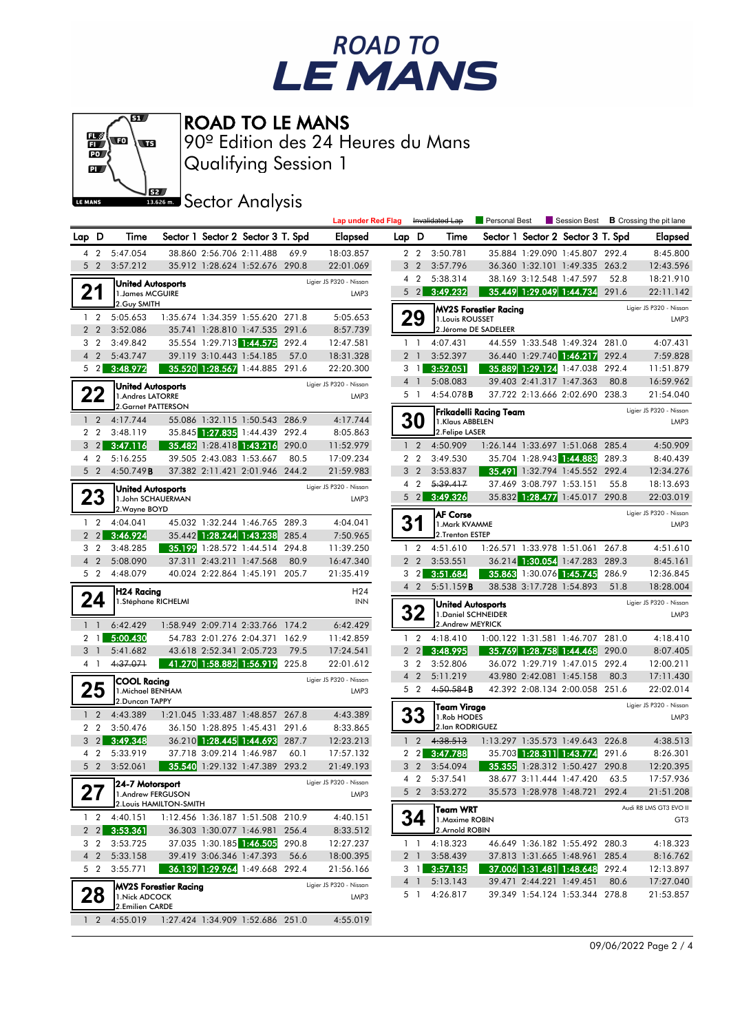



Qualifying Session 1 90º Edition des 24 Heures du Mans

**J**BZZ Sector Analysis

|                |                               |                                        |                              |                          |                                                                  |       | <b>Lap under Red Flag</b>       |                |                | Invalidated Lap                             | Personal Best                 |                          |                                   |       | Session Best $\,$ <b>B</b> Crossing the pit lane |
|----------------|-------------------------------|----------------------------------------|------------------------------|--------------------------|------------------------------------------------------------------|-------|---------------------------------|----------------|----------------|---------------------------------------------|-------------------------------|--------------------------|-----------------------------------|-------|--------------------------------------------------|
| Lap D          |                               | Time                                   |                              |                          | Sector 1 Sector 2 Sector 3 T. Spd                                |       | Elapsed                         | Lap D          |                | Time                                        |                               |                          | Sector 1 Sector 2 Sector 3 T. Spd |       | Elapsed                                          |
|                | 4 2                           | 5:47.054                               |                              | 38.860 2:56.706 2:11.488 |                                                                  | 69.9  | 18:03.857                       |                | 2 2            | 3:50.781                                    |                               |                          | 35.884 1:29.090 1:45.807 292.4    |       | 8:45.800                                         |
|                | 5 <sub>2</sub>                | 3:57.212                               |                              |                          | 35.912 1:28.624 1:52.676 290.8                                   |       | 22:01.069                       | 3              | $\overline{2}$ | 3:57.796                                    |                               |                          | 36.360 1:32.101 1:49.335 263.2    |       | 12:43.596                                        |
|                |                               |                                        |                              |                          |                                                                  |       | Ligier JS P320 - Nissan         |                | 4 <sup>2</sup> | 5:38.314                                    |                               | 38.169 3:12.548 1:47.597 |                                   | 52.8  | 18:21.910                                        |
|                | 21                            | United Autosports <br>1. James MCGUIRE |                              |                          |                                                                  |       | LMP3                            |                | $5 \quad 2$    | 3:49.232                                    |                               |                          | 35.449 1:29.049 1:44.734 291.6    |       | 22:11.142                                        |
|                |                               | 2.Guy SMITH                            |                              |                          |                                                                  |       |                                 |                |                |                                             | <b>MV2S Forestier Racing</b>  |                          |                                   |       | Ligier JS P320 - Nissan                          |
|                | 1 <sub>2</sub>                | 5:05.653                               |                              |                          | 1:35.674 1:34.359 1:55.620 271.8                                 |       | 5:05.653                        |                | 29             | 1. Louis ROUSSET                            |                               |                          |                                   |       | LMP3                                             |
|                | 2 <sub>2</sub>                | 3:52.086                               |                              |                          | 35.741 1:28.810 1:47.535 291.6                                   |       | 8:57.739                        |                |                |                                             | 2. Jérome DE SADELEER         |                          |                                   |       |                                                  |
|                | 3 <sub>2</sub>                | 3:49.842                               |                              |                          | 35.554 1:29.713 1:44.575 292.4                                   |       | 12:47.581                       |                | $1\quad$       | 4:07.431                                    |                               |                          | 44.559 1:33.548 1:49.324 281.0    |       | 4:07.431                                         |
|                | 4 <sub>2</sub>                | 5:43.747                               |                              | 39.119 3:10.443 1:54.185 |                                                                  | 57.0  | 18:31.328                       |                | 2 <sub>1</sub> | 3:52.397                                    |                               |                          | 36.440 1:29.740 1:46.217 292.4    |       | 7:59.828                                         |
|                | $5\quad2$                     | 3:48.972                               |                              |                          | 35.520 1:28.567 1:44.885 291.6                                   |       | 22:20.300                       |                | 31             | 3:52.051                                    |                               |                          | 35.889 1:29.124 1:47.038 292.4    |       | 11:51.879                                        |
|                |                               | <b>United Autosports</b>               |                              |                          |                                                                  |       | Ligier JS P320 - Nissan         |                | $4-1$          | 5:08.083                                    |                               | 39.403 2:41.317 1:47.363 |                                   | 80.8  | 16:59.962                                        |
|                | 22                            | 1.Andres LATORRE                       |                              |                          |                                                                  |       | LMP3                            |                | 5 1            | 4:54.078B                                   |                               |                          | 37.722 2:13.666 2:02.690 238.3    |       | 21:54.040                                        |
|                |                               | 2.Garnet PATTERSON                     |                              |                          |                                                                  |       |                                 |                |                |                                             | <b>Frikadelli Racing Team</b> |                          |                                   |       | Ligier JS P320 - Nissan                          |
|                | 1 <sub>2</sub>                | 4:17.744                               |                              |                          | 55.086 1:32.115 1:50.543 286.9                                   |       | 4:17.744                        |                | <b>30</b>      | 1.Klaus ABBELEN                             |                               |                          |                                   |       | LMP3                                             |
|                | 2 <sub>2</sub>                | 3:48.119                               |                              |                          | 35.845 1:27.835 1:44.439 292.4                                   |       | 8:05.863                        |                |                | 2.Felipe LASER                              |                               |                          |                                   |       |                                                  |
|                | $3 \quad 2$                   | 3:47.116                               |                              |                          | 35.482 1:28.418 1:43.216 290.0                                   |       | 11:52.979                       | $\mathbf{1}$   | $\overline{2}$ | 4:50.909                                    |                               |                          | 1:26.144 1:33.697 1:51.068 285.4  |       | 4:50.909                                         |
|                | 4 <sup>2</sup>                | 5:16.255                               |                              | 39.505 2:43.083 1:53.667 |                                                                  | 80.5  | 17:09.234                       |                | 2 <sub>2</sub> | 3:49.530                                    |                               |                          | 35.704 1:28.943 1:44.883          | 289.3 | 8:40.439                                         |
|                | 5 <sub>2</sub>                | 4:50.749B                              |                              |                          | 37.382 2:11.421 2:01.946 244.2                                   |       | 21:59.983                       |                | 3 <sub>2</sub> | 3:53.837                                    |                               |                          | 35.491 1:32.794 1:45.552 292.4    |       | 12:34.276                                        |
|                |                               | <b>United Autosports</b>               |                              |                          |                                                                  |       | Ligier JS P320 - Nissan         | 4              | $\overline{2}$ | 5:39.417                                    |                               | 37.469 3:08.797 1:53.151 | 35.832 1:28.477 1:45.017 290.8    | 55.8  | 18:13.693                                        |
|                | 23                            | 1.John SCHAUERMAN<br>2. Wayne BOYD     |                              |                          |                                                                  |       | LMP3                            |                |                | $5\quad 2$ 3:49.326                         |                               |                          |                                   |       | 22:03.019                                        |
|                | $1\quad 2$                    | 4:04.041                               |                              |                          | 45.032 1:32.244 1:46.765 289.3                                   |       | 4:04.041                        | 3              |                | <b>AF Corse</b>                             |                               |                          |                                   |       | Ligier JS P320 - Nissan                          |
|                | 2 <sub>2</sub>                | 3:46.924                               |                              |                          | 35.442 1:28.244 1:43.238                                         | 285.4 | 7:50.965                        |                |                | 1.Mark KVAMME<br>2.Trenton ESTEP            |                               |                          |                                   |       | LMP3                                             |
|                | 3 <sub>2</sub>                | 3:48.285                               |                              |                          | 35.199 1:28.572 1:44.514 294.8                                   |       | 11:39.250                       |                | $1\quad 2$     | 4:51.610                                    |                               |                          | 1:26.571 1:33.978 1:51.061 267.8  |       | 4:51.610                                         |
| $\overline{4}$ | $\overline{2}$                | 5:08.090                               |                              | 37.311 2:43.211 1:47.568 |                                                                  | 80.9  | 16:47.340                       |                | 2 <sub>2</sub> | 3:53.551                                    |                               |                          | 36.214 1:30.054 1:47.283 289.3    |       | 8:45.161                                         |
|                | 5 <sub>2</sub>                | 4:48.079                               |                              |                          | 40.024 2:22.864 1:45.191 205.7                                   |       | 21:35.419                       |                | $3\quad2$      | 3:51.684                                    |                               |                          | 35.863 1:30.076 1:45.745          | 286.9 | 12:36.845                                        |
|                |                               | H24 Racing                             |                              |                          |                                                                  |       | H <sub>24</sub>                 |                | 4 <sup>2</sup> | 5:51.159B                                   |                               | 38.538 3:17.728 1:54.893 |                                   | 51.8  | 18:28.004                                        |
|                | 24                            | 1.Stéphane RICHELMI                    |                              |                          |                                                                  |       | <b>INN</b>                      |                |                | United Autosports                           |                               |                          |                                   |       | Ligier JS P320 - Nissan                          |
|                |                               |                                        |                              |                          |                                                                  |       |                                 |                | 2۷             | 1. Daniel SCHNEIDER                         |                               |                          |                                   |       | LMP3                                             |
|                | $1\quad$                      | 6:42.429                               |                              |                          | 1:58.949 2:09.714 2:33.766 174.2                                 |       | 6:42.429                        |                |                | 2.Andrew MEYRICK                            |                               |                          |                                   |       |                                                  |
|                | 2 <sub>1</sub>                | 5:00.430                               |                              |                          | 54.783 2:01.276 2:04.371 162.9                                   |       | 11:42.859                       |                | $1\quad 2$     | 4:18.410                                    |                               |                          | 1:00.122 1:31.581 1:46.707 281.0  |       | 4:18.410                                         |
|                | 3 <sup>1</sup>                | 5:41.682                               |                              | 43.618 2:52.341 2:05.723 |                                                                  | 79.5  | 17:24.541                       |                | $2\quad2$      | 3:48.995                                    |                               |                          | 35.769 1:28.758 1:44.468 290.0    |       | 8:07.405                                         |
|                | 4 1                           | 4:37.071                               |                              |                          | 41.270 1:58.882 1:56.919 225.8                                   |       | 22:01.612                       |                | 3 <sub>2</sub> | 3:52.806                                    |                               |                          | 36.072 1:29.719 1:47.015          | 292.4 | 12:00.211                                        |
|                |                               | <b>COOL Racing</b>                     |                              |                          |                                                                  |       | Ligier JS P320 - Nissan         | $\overline{4}$ | $\overline{2}$ | 5:11.219                                    |                               | 43.980 2:42.081 1:45.158 |                                   | 80.3  | 17:11.430                                        |
|                | 25                            | 1. Michael BENHAM                      |                              |                          |                                                                  |       | LMP3                            |                | 5 <sub>2</sub> | 4:50.584B                                   |                               |                          | 42.392 2:08.134 2:00.058 251.6    |       | 22:02.014                                        |
|                |                               | 2.Duncan TAPPY                         |                              |                          |                                                                  |       |                                 |                |                | <b>Team Virage</b>                          |                               |                          |                                   |       | Ligier JS P320 - Nissan                          |
|                | 1 <sub>2</sub>                | 4:43.389<br>3:50.476                   |                              |                          | 1:21.045 1:33.487 1:48.857 267.8                                 |       | 4:43.389                        |                |                | 1.Rob HODES<br>2.lan RODRIGUEZ              |                               |                          |                                   |       | LMP3                                             |
|                | 2 <sub>2</sub><br>$3 \quad 2$ | 3:49.348                               |                              |                          | 36.150 1:28.895 1:45.431 291.6<br>36.210 1:28.445 1:44.693 287.7 |       | 8:33.865<br>12:23.213           | $\mathbf{1}$   | $\overline{2}$ | 4:38.513                                    |                               |                          | 1:13.297 1:35.573 1:49.643 226.8  |       | 4:38.513                                         |
|                | 4 <sup>2</sup>                | 5:33.919                               |                              | 37.718 3:09.214 1:46.987 |                                                                  | 60.1  | 17:57.132                       |                | $2 \quad 2$    | 3:47.788                                    |                               |                          | 35.703 1:28.311 1:43.774 291.6    |       | 8:26.301                                         |
|                | 5 <sub>2</sub>                | 3:52.061                               |                              |                          | 35.540 1:29.132 1:47.389 293.2                                   |       | 21:49.193                       |                |                | 3 2 3:54.094 35.355 1:28.312 1:50.427 290.8 |                               |                          |                                   |       | 12:20.395                                        |
|                |                               |                                        |                              |                          |                                                                  |       |                                 |                |                | 4 2 5:37.541                                |                               |                          | 38.677 3:11.444 1:47.420 63.5     |       | 17:57.936                                        |
|                |                               | 24-7 Motorsport<br>1.Andrew FERGUSON   |                              |                          |                                                                  |       | Ligier JS P320 - Nissan<br>LMP3 |                |                | 5 2 3:53.272                                |                               |                          | 35.573 1:28.978 1:48.721 292.4    |       | 21:51.208                                        |
|                |                               |                                        | 2. Louis HAMILTON-SMITH      |                          |                                                                  |       |                                 |                |                |                                             |                               |                          |                                   |       | Audi R8 LMS GT3 EVO II                           |
|                | $1\quad 2$                    | 4:40.151                               |                              |                          | 1:12.456 1:36.187 1:51.508 210.9                                 |       | 4:40.151                        |                | 34             | <b>Team WRT</b><br>1. Maxime ROBIN          |                               |                          |                                   |       | GT <sub>3</sub>                                  |
|                |                               | $2 \quad 2 \quad 3:53.361$             |                              |                          | 36.303 1:30.077 1:46.981 256.4                                   |       | 8:33.512                        |                |                | 2.Arnold ROBIN                              |                               |                          |                                   |       |                                                  |
|                | 3 <sub>2</sub>                | 3:53.725                               |                              |                          | 37.035 1:30.185 1:46.505 290.8                                   |       | 12:27.237                       |                | 1 <sup>1</sup> | 4:18.323                                    |                               |                          | 46.649 1:36.182 1:55.492 280.3    |       | 4:18.323                                         |
|                | 4 <sub>2</sub>                | 5:33.158                               |                              |                          | 39.419 3:06.346 1:47.393                                         | 56.6  | 18:00.395                       |                | 2 <sub>1</sub> | 3:58.439                                    |                               |                          | 37.813 1:31.665 1:48.961 285.4    |       | 8:16.762                                         |
|                | $5\quad2$                     | 3:55.771                               |                              |                          | <b>36.139 1:29.964 1:49.668 292.4</b>                            |       | 21:56.166                       |                | 3 1            | 3:57.135                                    |                               |                          | 37.006 1:31.481 1:48.648 292.4    |       | 12:13.897                                        |
|                |                               |                                        | <b>MV2S Forestier Racing</b> |                          |                                                                  |       | Ligier JS P320 - Nissan         |                |                | 4 1 5:13.143                                |                               | 39.471 2:44.221 1:49.451 |                                   | 80.6  | 17:27.040                                        |
|                | 28                            | 1. Nick ADCOCK                         |                              |                          |                                                                  |       | LMP3                            |                |                | 5 1 4:26.817                                |                               |                          | 39.349 1:54.124 1:53.344 278.8    |       | 21:53.857                                        |
|                |                               | 2.Emilien CARDE                        |                              |                          |                                                                  |       |                                 |                |                |                                             |                               |                          |                                   |       |                                                  |
|                | $1\quad 2$                    | 4:55.019                               |                              |                          | 1:27.424 1:34.909 1:52.686 251.0                                 |       | 4:55.019                        |                |                |                                             |                               |                          |                                   |       |                                                  |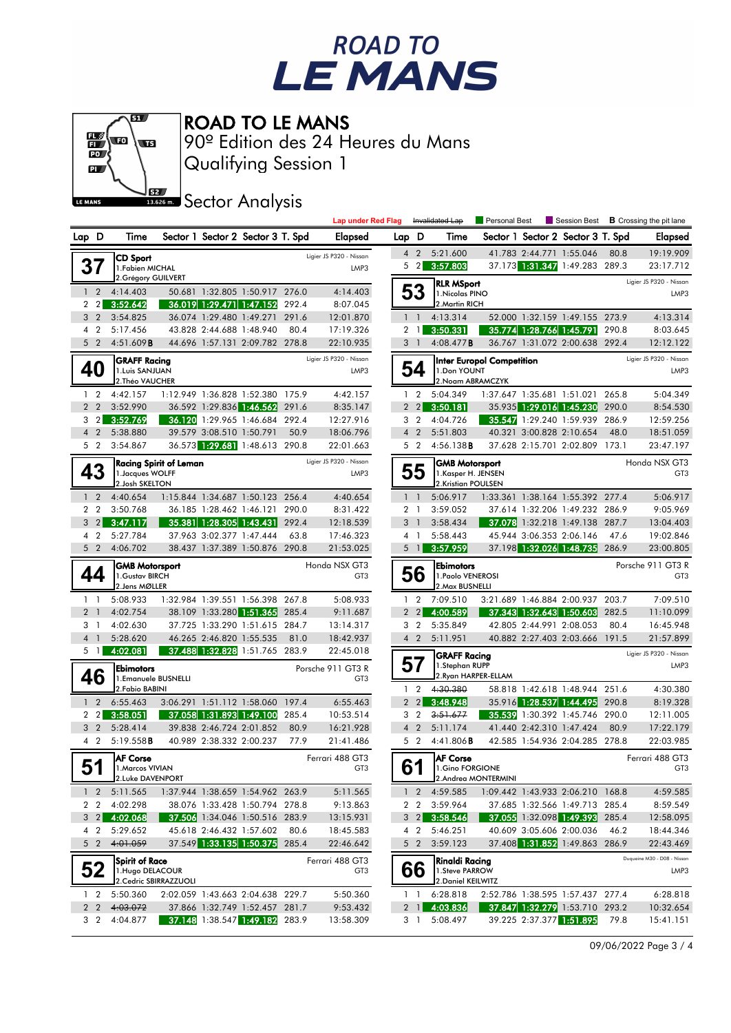



Qualifying Session 1 90º Edition des 24 Heures du Mans

**J**<br>Issuem Sector Analysis

|                                  |                |                                          |                               |                          |                                                                  |       | <b>Lap under Red Flag</b>            |                |                                  | Invalidated Lap                       | Personal Best             |                                                                  |       | Session Best <b>B</b> Crossing the pit lane |
|----------------------------------|----------------|------------------------------------------|-------------------------------|--------------------------|------------------------------------------------------------------|-------|--------------------------------------|----------------|----------------------------------|---------------------------------------|---------------------------|------------------------------------------------------------------|-------|---------------------------------------------|
| Lap D                            |                | Time                                     |                               |                          | Sector 1 Sector 2 Sector 3 T. Spd                                |       | Elapsed                              | Lap D          |                                  | Time                                  |                           | Sector 1 Sector 2 Sector 3 T. Spd                                |       | Elapsed                                     |
|                                  |                | <b>CD Sport</b>                          |                               |                          |                                                                  |       | Ligier JS P320 - Nissan              |                | $4\quad2$                        | 5:21.600                              |                           | 41.783 2:44.771 1:55.046                                         | 80.8  | 19:19.909                                   |
| 37                               |                | 1. Fabien MICHAL                         |                               |                          |                                                                  |       | LMP3                                 | 5              | $\overline{2}$                   | 3:57.803                              |                           | 37.173 1:31.347 1:49.283 289.3                                   |       | 23:17.712                                   |
|                                  |                | 2. Grégory GUILVERT                      |                               |                          |                                                                  |       |                                      |                |                                  | <b>RLR MSport</b>                     |                           |                                                                  |       | Ligier JS P320 - Nissan                     |
| $\mathbf{1}$                     | $\overline{2}$ | 4:14.403                                 |                               |                          | 50.681 1:32.805 1:50.917 276.0                                   |       | 4:14.403                             |                | 53                               | 1. Nicolas PINO                       |                           |                                                                  |       | LMP3                                        |
| 2 <sub>2</sub>                   |                | 3:52.642                                 |                               |                          | 36.019 1:29.471 1:47.152 292.4                                   |       | 8:07.045                             |                |                                  | 2. Martin RICH                        |                           |                                                                  |       |                                             |
| 3 <sub>2</sub>                   |                | 3:54.825                                 |                               |                          | 36.074 1:29.480 1:49.271                                         | 291.6 | 12:01.870                            |                | $1\quad$                         | 4:13.314                              |                           | 52.000 1:32.159 1:49.155 273.9                                   |       | 4:13.314                                    |
| 4 <sup>2</sup><br>5 <sub>2</sub> |                | 5:17.456                                 |                               | 43.828 2:44.688 1:48.940 |                                                                  | 80.4  | 17:19.326<br>22:10.935               |                | 2 <sub>1</sub>                   | 3:50.331                              |                           | 35.774 1:28.766 1:45.791                                         | 290.8 | 8:03.645                                    |
|                                  |                | 4:51.609B                                |                               |                          | 44.696 1:57.131 2:09.782 278.8                                   |       |                                      |                | 3 <sup>1</sup>                   | 4:08.477 <b>B</b>                     |                           | 36.767 1:31.072 2:00.638 292.4                                   |       | 12:12.122                                   |
| 40                               |                | <b>GRAFF Racing</b><br>1. Luis SANJUAN   |                               |                          |                                                                  |       | Ligier JS P320 - Nissan<br>LMP3      |                | 54                               | 1.Don YOUNT                           | Inter Europol Competition |                                                                  |       | Ligier JS P320 - Nissan<br>LMP3             |
|                                  |                | 2. Théo VAUCHER                          |                               |                          |                                                                  |       |                                      |                |                                  | 2. Noam ABRAMCZYK                     |                           |                                                                  |       |                                             |
| $1\quad 2$                       |                | 4:42.157                                 |                               |                          | 1:12.949 1:36.828 1:52.380 175.9                                 |       | 4:42.157                             |                | $1\quad 2$                       | 5:04.349                              |                           | 1:37.647 1:35.681 1:51.021 265.8                                 |       | 5:04.349                                    |
| 2 <sub>2</sub>                   |                | 3:52.990                                 |                               |                          | 36.592 1:29.836 1:46.562 291.6                                   |       | 8:35.147                             |                | $2\quad2$                        | 3:50.181                              |                           | 35.935 1:29.016 1:45.230                                         | 290.0 | 8:54.530                                    |
| 3                                | $\overline{2}$ | 3:52.769                                 |                               |                          | 36.120 1:29.965 1:46.684 292.4                                   |       | 12:27.916                            |                | 3 <sub>2</sub>                   | 4:04.726                              |                           | 35.547 1:29.240 1:59.939                                         | 286.9 | 12:59.256                                   |
| 4 <sup>2</sup>                   |                | 5:38.880                                 |                               | 39.579 3:08.510 1:50.791 |                                                                  | 50.9  | 18:06.796                            |                | 4 <sub>2</sub>                   | 5:51.803                              |                           | 40.321 3:00.828 2:10.654                                         | 48.0  | 18:51.059                                   |
| 5 <sub>2</sub>                   |                | 3:54.867                                 |                               |                          | 36.573 1:29.681 1:48.613 290.8                                   |       | 22:01.663                            |                | 5 <sub>2</sub>                   | $4:56.138$ <b>B</b>                   |                           | 37.628 2:15.701 2:02.809 173.1                                   |       | 23:47.197                                   |
|                                  |                |                                          | <b>Racing Spirit of Leman</b> |                          |                                                                  |       | Ligier JS P320 - Nissan              |                |                                  | <b>GMB Motorsport</b>                 |                           |                                                                  |       | Honda NSX GT3                               |
| 43                               |                | 1. Jacques WOLFF                         |                               |                          |                                                                  |       | LMP3                                 |                | 55                               | 1. Kasper H. JENSEN                   |                           |                                                                  |       | GT <sub>3</sub>                             |
|                                  |                | 2. Josh SKELTON                          |                               |                          |                                                                  |       |                                      |                |                                  | 2.Kristian POULSEN                    |                           |                                                                  |       |                                             |
| $\mathbf{1}$                     | $\overline{2}$ | 4:40.654                                 |                               |                          | 1:15.844 1:34.687 1:50.123 256.4                                 |       | 4:40.654<br>8:31.422                 |                | $1\quad$                         | 5:06.917<br>3:59.052                  |                           | 1:33.361 1:38.164 1:55.392 277.4                                 |       | 5:06.917                                    |
| 2 <sub>2</sub><br>3              | $\overline{2}$ | 3:50.768<br>3:47.117                     |                               |                          | 36.185 1:28.462 1:46.121 290.0<br>35.381 1:28.305 1:43.431       | 292.4 | 12:18.539                            | 3              | 2 <sub>1</sub><br>$\overline{1}$ | 3:58.434                              |                           | 37.614 1:32.206 1:49.232 286.9<br>37.078 1:32.218 1:49.138 287.7 |       | 9:05.969<br>13:04.403                       |
| 4 2                              |                | 5:27.784                                 |                               | 37.963 3:02.377 1:47.444 |                                                                  | 63.8  | 17:46.323                            |                | $4-1$                            | 5:58.443                              |                           | 45.944 3:06.353 2:06.146                                         | 47.6  | 19:02.846                                   |
| 5 <sub>2</sub>                   |                | 4:06.702                                 |                               |                          | 38.437 1:37.389 1:50.876 290.8                                   |       | 21:53.025                            |                | $5 \text{ } 1$                   | 3:57.959                              |                           | 37.198 1:32.026 1:48.735                                         | 286.9 | 23:00.805                                   |
|                                  |                |                                          |                               |                          |                                                                  |       | Honda NSX GT3                        |                |                                  |                                       |                           |                                                                  |       | Porsche 911 GT3 R                           |
| 44                               |                | <b>GMB Motorsport</b><br>1. Gustav BIRCH |                               |                          |                                                                  |       | GT <sub>3</sub>                      |                | 56                               | <b>Ebimotors</b><br>1. Paolo VENEROSI |                           |                                                                  |       | GT <sub>3</sub>                             |
|                                  |                | 2. Jens MØLLER                           |                               |                          |                                                                  |       |                                      |                |                                  | 2. Max BUSNELLI                       |                           |                                                                  |       |                                             |
| $1\quad$                         |                | 5:08.933                                 |                               |                          | 1:32.984 1:39.551 1:56.398 267.8                                 |       | 5:08.933                             |                | $1\quad 2$                       | 7:09.510                              |                           | 3:21.689 1:46.884 2:00.937 203.7                                 |       | 7:09.510                                    |
| 2 <sub>1</sub>                   |                | 4:02.754                                 |                               |                          | 38.109 1:33.280 1:51.365                                         | 285.4 | 9:11.687                             | $\overline{2}$ | 2 <sup>1</sup>                   | 4:00.589                              |                           | 37.343 1:32.643 1:50.603                                         | 282.5 | 11:10.099                                   |
| 31                               |                | 4:02.630                                 |                               |                          | 37.725 1:33.290 1:51.615 284.7                                   |       | 13:14.317                            |                | 3 <sub>2</sub>                   | 5:35.849                              |                           | 42.805 2:44.991 2:08.053                                         | 80.4  | 16:45.948                                   |
| 4 1                              |                | 5:28.620                                 |                               | 46.265 2:46.820 1:55.535 |                                                                  | 81.0  | 18:42.937                            |                | 4 <sub>2</sub>                   | 5:11.951                              |                           | 40.882 2:27.403 2:03.666 191.5                                   |       | 21:57.899                                   |
| $5 \quad 1$                      |                | 4:02.081                                 |                               |                          | 37.488 1:32.828 1:51.765 283.9                                   |       | 22:45.018                            |                |                                  | <b>GRAFF Racing</b>                   |                           |                                                                  |       | Ligier JS P320 - Nissan                     |
| 46                               |                | <b>Ebimotors</b><br>1.Emanuele BUSNELLI  |                               |                          |                                                                  |       | Porsche 911 GT3 R<br>GT <sub>3</sub> |                | 57                               | 1.Stephan RUPP                        | 2. Ryan HARPER-ELLAM      |                                                                  |       | LMP3                                        |
|                                  |                | 2. Fabio BABINI                          |                               |                          |                                                                  |       |                                      |                | 1 <sub>2</sub>                   | 4:30.380                              |                           | 58.818 1:42.618 1:48.944 251.6                                   |       | 4:30.380                                    |
| $\mathbf{1}$                     | $\overline{2}$ | 6:55.463                                 |                               |                          | 3:06.291 1:51.112 1:58.060 197.4                                 |       | 6:55.463                             | $\overline{2}$ | $\overline{2}$                   | 3:48.948                              |                           | 35.916 1:28.537 1:44.495                                         | 290.8 | 8:19.328                                    |
| 2 2                              |                | 3:58.051                                 |                               |                          | 37.058 1:31.893 1:49.100                                         | 285.4 | 10:53.514                            |                | 3 <sub>2</sub>                   | 3:51.677                              |                           | 35.539 1:30.392 1:45.746                                         | 290.0 | 12:11.005                                   |
| 3 <sub>2</sub>                   |                | 5:28.414                                 |                               | 39.838 2:46.724 2:01.852 |                                                                  | 80.9  | 16:21.928                            |                | 4 <sub>2</sub>                   | 5:11.174                              |                           | 41.440 2:42.310 1:47.424                                         | 80.9  | 17:22.179                                   |
| 4 2                              |                | 5:19.558B                                |                               | 40.989 2:38.332 2:00.237 |                                                                  | 77.9  | 21:41.486                            |                | 5 <sub>2</sub>                   | $4:41.806$ B                          |                           | 42.585 1:54.936 2:04.285 278.8                                   |       | 22:03.985                                   |
| е 4                              |                | <b>AF Corse</b>                          |                               |                          |                                                                  |       | Ferrari 488 GT3                      |                | Q1                               | <b>AF</b> Corse                       |                           |                                                                  |       | Ferrari 488 GT3                             |
| ບ⊺                               |                | 11. Marcos VIVIAN                        |                               |                          |                                                                  |       | G13                                  |                | 0 I                              | 1.Gino FORGIONE                       |                           |                                                                  |       | GI3                                         |
|                                  |                | 2.Luke DAVENPORT                         |                               |                          |                                                                  |       |                                      |                |                                  |                                       | 2.Andrea MONTERMINI       |                                                                  |       |                                             |
|                                  |                | 1 2 5:11.565                             |                               |                          | 1:37.944 1:38.659 1:54.962 263.9                                 |       | 5:11.565                             |                |                                  | 1 2 4:59.585                          |                           | 1:09.442 1:43.933 2:06.210 168.8                                 |       | 4:59.585                                    |
| 2 <sub>2</sub><br>$3 \quad 2$    |                | 4:02.298<br>4:02.068                     |                               |                          | 38.076 1:33.428 1:50.794 278.8<br>37.506 1:34.046 1:50.516 283.9 |       | 9:13.863<br>13:15.931                |                |                                  | 2 2 3:59.964<br>3 2 3:58.546          |                           | 37.685 1:32.566 1:49.713 285.4<br>37.055 1:32.098 1:49.393 285.4 |       | 8:59.549<br>12:58.095                       |
| $4\quad2$                        |                | 5:29.652                                 |                               |                          | 45.618 2:46.432 1:57.602                                         | 80.6  | 18:45.583                            |                | 4 2                              | 5:46.251                              |                           | 40.609 3:05.606 2:00.036                                         | 46.2  | 18:44.346                                   |
| 5 <sub>2</sub>                   |                | 4:01.059                                 |                               |                          | 37.549 1:33.135 1:50.375 285.4                                   |       | 22:46.642                            |                |                                  | 5 2 3:59.123                          |                           | 37.408 1:31.852 1:49.863 286.9                                   |       | 22:43.469                                   |
|                                  |                |                                          |                               |                          |                                                                  |       |                                      |                |                                  |                                       |                           |                                                                  |       | Duqueine M30 - D08 - Nissan                 |
| 52                               |                | Spirit of Race<br>1. Hugo DELACOUR       |                               |                          |                                                                  |       | Ferrari 488 GT3<br>GT <sub>3</sub>   |                | 66                               | Rinaldi Racing<br>1. Steve PARROW     |                           |                                                                  |       | LMP3                                        |
|                                  |                |                                          | 2. Cedric SBIRRAZZUOLI        |                          |                                                                  |       |                                      |                |                                  | 2. Daniel KEILWITZ                    |                           |                                                                  |       |                                             |
| $1\quad 2$                       |                | 5:50.360                                 |                               |                          | 2:02.059 1:43.663 2:04.638 229.7                                 |       | 5:50.360                             |                | 11                               | 6:28.818                              |                           | 2:52.786 1:38.595 1:57.437 277.4                                 |       | 6:28.818                                    |
| 2 <sub>2</sub>                   |                | 4:03.072                                 |                               |                          | 37.866 1:32.749 1:52.457 281.7                                   |       | 9:53.432                             |                | $2 \mid$                         | 4:03.836                              |                           | 37.847 1:32.279 1:53.710 293.2                                   |       | 10:32.654                                   |
| 3 2                              |                | 4:04.877                                 |                               |                          | 37.148 1:38.547 1:49.182 283.9                                   |       | 13:58.309                            |                | 3 1                              | 5:08.497                              |                           | 39.225 2:37.377 1:51.895                                         | 79.8  | 15:41.151                                   |
|                                  |                |                                          |                               |                          |                                                                  |       |                                      |                |                                  |                                       |                           |                                                                  |       |                                             |

09/06/2022 Page 3 / 4